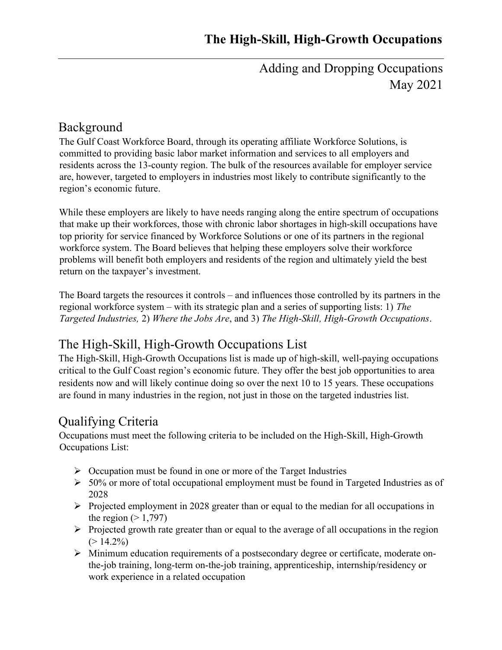Adding and Dropping Occupations May 2021

#### Background

The Gulf Coast Workforce Board, through its operating affiliate Workforce Solutions, is committed to providing basic labor market information and services to all employers and residents across the 13-county region. The bulk of the resources available for employer service are, however, targeted to employers in industries most likely to contribute significantly to the region's economic future.

While these employers are likely to have needs ranging along the entire spectrum of occupations that make up their workforces, those with chronic labor shortages in high-skill occupations have top priority for service financed by Workforce Solutions or one of its partners in the regional workforce system. The Board believes that helping these employers solve their workforce problems will benefit both employers and residents of the region and ultimately yield the best return on the taxpayer's investment.

The Board targets the resources it controls – and influences those controlled by its partners in the regional workforce system – with its strategic plan and a series of supporting lists: 1) The Targeted Industries, 2) Where the Jobs Are, and 3) The High-Skill, High-Growth Occupations.

# The High-Skill, High-Growth Occupations List

The High-Skill, High-Growth Occupations list is made up of high-skill, well-paying occupations critical to the Gulf Coast region's economic future. They offer the best job opportunities to area residents now and will likely continue doing so over the next 10 to 15 years. These occupations are found in many industries in the region, not just in those on the targeted industries list.

## Qualifying Criteria

Occupations must meet the following criteria to be included on the High-Skill, High-Growth Occupations List:

- $\triangleright$  Occupation must be found in one or more of the Target Industries
- $50\%$  or more of total occupational employment must be found in Targeted Industries as of 2028
- $\triangleright$  Projected employment in 2028 greater than or equal to the median for all occupations in the region  $(>1,797)$
- $\triangleright$  Projected growth rate greater than or equal to the average of all occupations in the region  $(> 14.2\%)$
- Minimum education requirements of a postsecondary degree or certificate, moderate onthe-job training, long-term on-the-job training, apprenticeship, internship/residency or work experience in a related occupation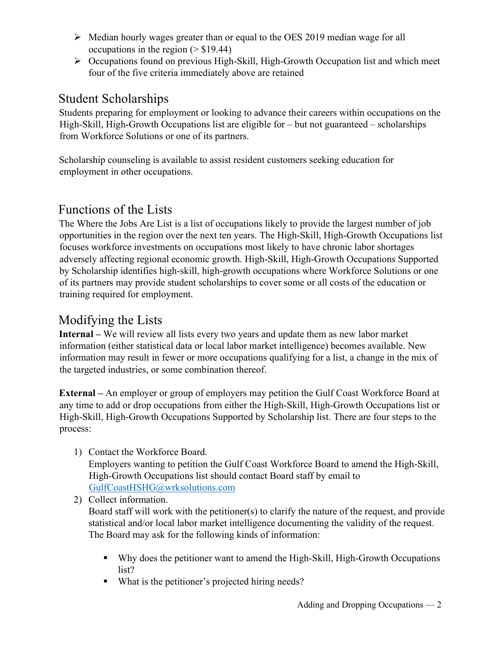- $\triangleright$  Median hourly wages greater than or equal to the OES 2019 median wage for all occupations in the region  $($  > \$19.44)
- $\triangleright$  Occupations found on previous High-Skill, High-Growth Occupation list and which meet four of the five criteria immediately above are retained

### Student Scholarships

Students preparing for employment or looking to advance their careers within occupations on the High-Skill, High-Growth Occupations list are eligible for – but not guaranteed – scholarships from Workforce Solutions or one of its partners.

Scholarship counseling is available to assist resident customers seeking education for employment in other occupations.

## Functions of the Lists

The Where the Jobs Are List is a list of occupations likely to provide the largest number of job opportunities in the region over the next ten years. The High-Skill, High-Growth Occupations list focuses workforce investments on occupations most likely to have chronic labor shortages adversely affecting regional economic growth. High-Skill, High-Growth Occupations Supported by Scholarship identifies high-skill, high-growth occupations where Workforce Solutions or one of its partners may provide student scholarships to cover some or all costs of the education or training required for employment.

### Modifying the Lists

Internal – We will review all lists every two years and update them as new labor market information (either statistical data or local labor market intelligence) becomes available. New information may result in fewer or more occupations qualifying for a list, a change in the mix of the targeted industries, or some combination thereof.

External – An employer or group of employers may petition the Gulf Coast Workforce Board at any time to add or drop occupations from either the High-Skill, High-Growth Occupations list or High-Skill, High-Growth Occupations Supported by Scholarship list. There are four steps to the process:

1) Contact the Workforce Board.

Employers wanting to petition the Gulf Coast Workforce Board to amend the High-Skill, High-Growth Occupations list should contact Board staff by email to GulfCoastHSHG@wrksolutions.com

2) Collect information.

Board staff will work with the petitioner(s) to clarify the nature of the request, and provide statistical and/or local labor market intelligence documenting the validity of the request. The Board may ask for the following kinds of information:

- Why does the petitioner want to amend the High-Skill, High-Growth Occupations list?
- What is the petitioner's projected hiring needs?